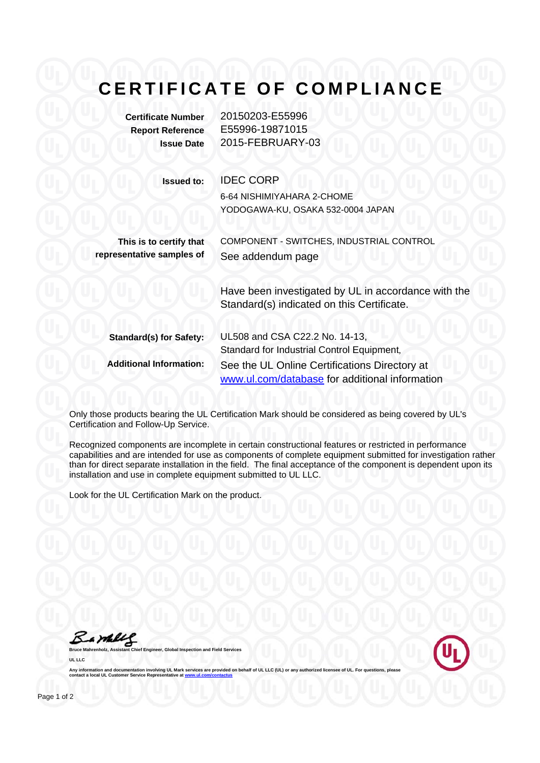## **CERTIFICATE OF COMPLIANCE**

**Certificate Number** 20150203-E55996 **Report Reference** E55996-19871015

**Issue Date** 2015-FEBRUARY-03

## **Issued to:** IDEC CORP

6-64 NISHIMIYAHARA 2-CHOME YODOGAWA-KU, OSAKA 532-0004 JAPAN

**This is to certify that representative samples of** COMPONENT - SWITCHES, INDUSTRIAL CONTROL See addendum page

> Have been investigated by UL in accordance with the Standard(s) indicated on this Certificate.

| <b>Standard(s) for Safety:</b> | UL508 and CSA C22.2 No. 14-13,<br>Standard for Industrial Control Equipment,                    |
|--------------------------------|-------------------------------------------------------------------------------------------------|
| <b>Additional Information:</b> | See the UL Online Certifications Directory at<br>www.ul.com/database for additional information |

Only those products bearing the UL Certification Mark should be considered as being covered by UL's Certification and Follow-Up Service.

Recognized components are incomplete in certain constructional features or restricted in performance capabilities and are intended for use as components of complete equipment submitted for investigation rather than for direct separate installation in the field. The final acceptance of the component is dependent upon its installation and use in complete equipment submitted to UL LLC.

Look for the UL Certification Mark on the product.

Bambles



Any information and documentation involving UL Mark services are provided on behalf of UL LLC (UL) or any **contact a local UL Customer Service Representative at** 

**Bruce Chief Chief Chief Chief Chief Chief Chief Chief Chief Chief Chief Chief Chief Chief Chief Chief Chief Chief Chief Chief Chief Chief Chief Chief Chief Chief Chief Chief Chief Chief Chief Chief Chief Chief Chief Chief** 

**UL LLC**